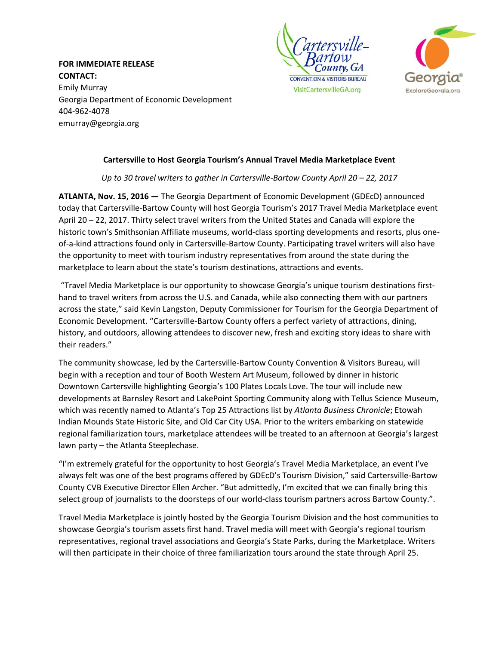**FOR IMMEDIATE RELEASE CONTACT:** Emily Murray Georgia Department of Economic Development 404-962-4078 [emurray@georgia.org](mailto:emurray@georgia.org)





## **Cartersville to Host Georgia Tourism's Annual Travel Media Marketplace Event**

*Up to 30 travel writers to gather in Cartersville-Bartow County April 20 – 22, 2017*

**ATLANTA, Nov. 15, 2016 —** The Georgia Department of Economic Development (GDEcD) announced today that Cartersville-Bartow County will host Georgia Tourism's 2017 Travel Media Marketplace event April 20 – 22, 2017. Thirty select travel writers from the United States and Canada will explore the historic town's Smithsonian Affiliate museums, world-class sporting developments and resorts, plus oneof-a-kind attractions found only in Cartersville-Bartow County. Participating travel writers will also have the opportunity to meet with tourism industry representatives from around the state during the marketplace to learn about the state's tourism destinations, attractions and events.

"Travel Media Marketplace is our opportunity to showcase Georgia's unique tourism destinations firsthand to travel writers from across the U.S. and Canada, while also connecting them with our partners across the state," said Kevin Langston, Deputy Commissioner for Tourism for the Georgia Department of Economic Development. "Cartersville-Bartow County offers a perfect variety of attractions, dining, history, and outdoors, allowing attendees to discover new, fresh and exciting story ideas to share with their readers."

The community showcase, led by the Cartersville-Bartow County Convention & Visitors Bureau, will begin with a reception and tour of Booth Western Art Museum, followed by dinner in historic Downtown Cartersville highlighting Georgia's 100 Plates Locals Love. The tour will include new developments at Barnsley Resort and LakePoint Sporting Community along with Tellus Science Museum, which was recently named to Atlanta's Top 25 Attractions list by *Atlanta Business Chronicle*; Etowah Indian Mounds State Historic Site, and Old Car City USA. Prior to the writers embarking on statewide regional familiarization tours, marketplace attendees will be treated to an afternoon at Georgia's largest lawn party – the Atlanta Steeplechase.

"I'm extremely grateful for the opportunity to host Georgia's Travel Media Marketplace, an event I've always felt was one of the best programs offered by GDEcD's Tourism Division," said Cartersville-Bartow County CVB Executive Director Ellen Archer. "But admittedly, I'm excited that we can finally bring this select group of journalists to the doorsteps of our world-class tourism partners across Bartow County.".

Travel Media Marketplace is jointly hosted by the Georgia Tourism Division and the host communities to showcase Georgia's tourism assets first hand. Travel media will meet with Georgia's regional tourism representatives, regional travel associations and Georgia's State Parks, during the Marketplace. Writers will then participate in their choice of three familiarization tours around the state through April 25.